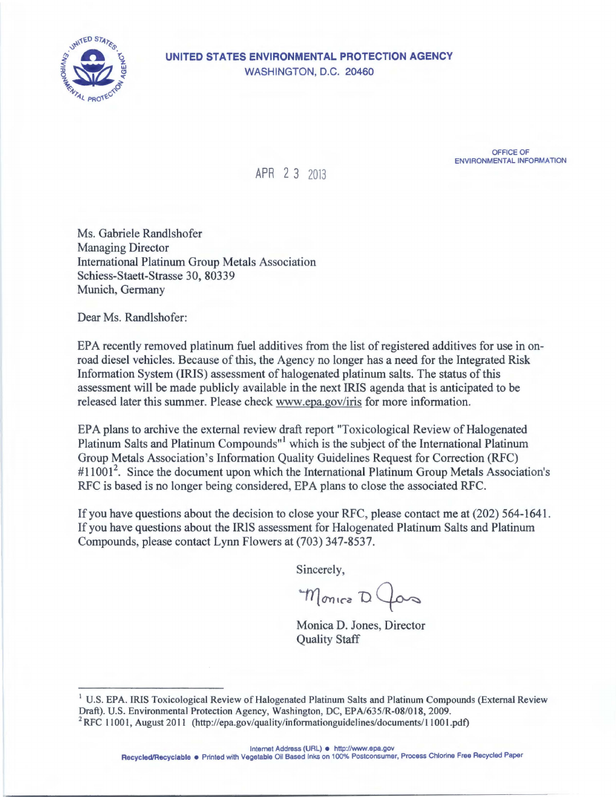

## **UNITED STATES ENVIRONMENTAL PROTECTION AGENCY**  WASHINGTON, D.C. 20460

OFFICE OF ENVIRONMENTAL INFORMATION

APR 2 3 2013

Ms. Gabriele Randlshofer Managing Director International Platinum Group Metals Association Schiess-Staett-Strasse 30, 80339 Munich, Germany

Dear Ms. Randlshofer:

EPA recently removed platinum fuel additives from the list of registered additives for use in onroad diesel vehicles. Because of this, the Agency no longer has a need for the Integrated Risk Information System (IRIS) assessment of halogenated platinum salts. The status of this assessment will be made publicly available in the next IRIS agenda that is anticipated to be released later this summer. Please check<www.epa.gov/iris> for more information.

EPA plans to archive the external review draft report "Toxicological Review of Halogenated Platinum Salts and Platinum Compounds"<sup>1</sup> which is the subject of the International Platinum Group Metals Association's Information Quality Guidelines Request for Correction (RFC) #11001<sup>2</sup>. Since the document upon which the International Platinum Group Metals Association's RFC is based is no longer being considered, EPA plans to close the associated RFC.

If you have questions about the decision to close your RFC, please contact me at (202) 564-1641 . If you have questions about the IRIS assessment for Halogenated Platinum Salts and Platinum Compounds, please contact Lynn Flowers at (703) 347-8537.

Sincerely,

Monico D Jas

Monica D. Jones, Director Quality Staff

Internet Address (URL) • <http://www.epa.gov>

Recycled/Recyclable · Printed with Vegetable Oil Based Inks on 100% Postconsumer, Process Chlorine Free Recycled Paper

<sup>&</sup>lt;sup>1</sup> U.S. EPA. IRIS Toxicological Review of Halogenated Platinum Salts and Platinum Compounds (External Review Draft). U.S. Environmental Protection Agency, Washington, DC, EPA/635/R-08/018, 2009. <sup>2</sup> RFC 11001, August 2011 (http://epa.gov/quality/informationguidelines/documents/11001.pdf)